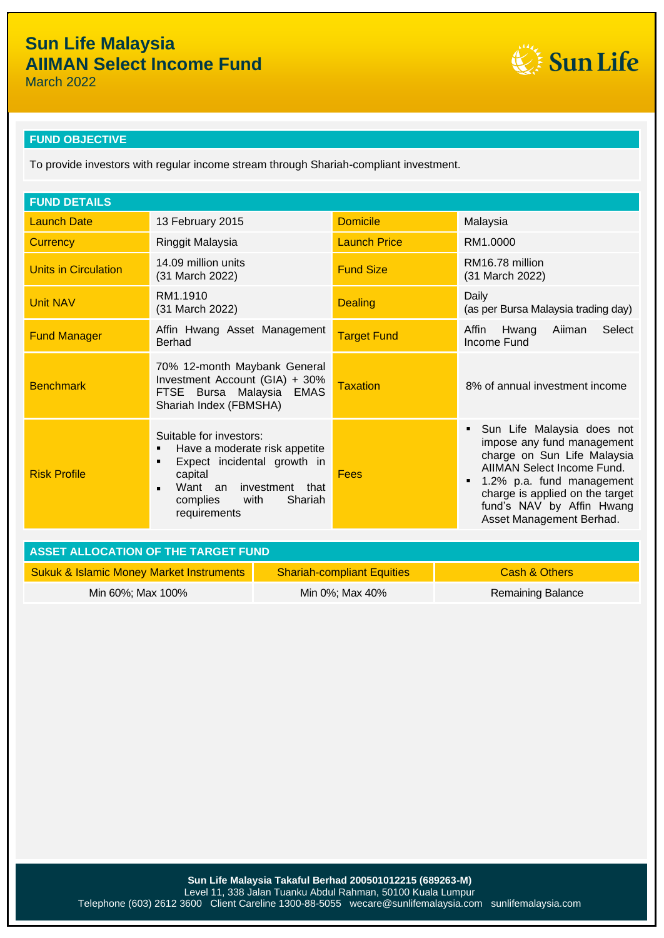Sun Life

March 2022

### **FUND OBJECTIVE**

To provide investors with regular income stream through Shariah-compliant investment.

| <b>FUND DETAILS</b>                                                                   |                                                                                                                                                                                                          |                     |                                                                                                                                                                                                                                                |  |  |
|---------------------------------------------------------------------------------------|----------------------------------------------------------------------------------------------------------------------------------------------------------------------------------------------------------|---------------------|------------------------------------------------------------------------------------------------------------------------------------------------------------------------------------------------------------------------------------------------|--|--|
| <b>Launch Date</b>                                                                    | 13 February 2015                                                                                                                                                                                         | <b>Domicile</b>     | Malaysia                                                                                                                                                                                                                                       |  |  |
| <b>Currency</b>                                                                       | Ringgit Malaysia                                                                                                                                                                                         | <b>Launch Price</b> | RM1.0000                                                                                                                                                                                                                                       |  |  |
| <b>Units in Circulation</b>                                                           | 14.09 million units<br>(31 March 2022)                                                                                                                                                                   | <b>Fund Size</b>    | RM16.78 million<br>(31 March 2022)                                                                                                                                                                                                             |  |  |
| <b>Unit NAV</b>                                                                       | RM1.1910<br>(31 March 2022)                                                                                                                                                                              | <b>Dealing</b>      | Daily<br>(as per Bursa Malaysia trading day)                                                                                                                                                                                                   |  |  |
| <b>Fund Manager</b>                                                                   | Affin Hwang Asset Management<br>Berhad                                                                                                                                                                   | <b>Target Fund</b>  | Select<br>Aiiman<br>Affin<br>Hwang<br>Income Fund                                                                                                                                                                                              |  |  |
| <b>Benchmark</b>                                                                      | 70% 12-month Maybank General<br>Investment Account (GIA) + 30%<br>FTSE Bursa Malaysia EMAS<br>Shariah Index (FBMSHA)                                                                                     | <b>Taxation</b>     | 8% of annual investment income                                                                                                                                                                                                                 |  |  |
| <b>Risk Profile</b>                                                                   | Suitable for investors:<br>Have a moderate risk appetite<br>٠<br>Expect incidental growth in<br>٠<br>capital<br>Want an investment that<br>$\blacksquare$<br>with<br>Shariah<br>complies<br>requirements | Fees                | Sun Life Malaysia does not<br>impose any fund management<br>charge on Sun Life Malaysia<br>AIIMAN Select Income Fund.<br>1.2% p.a. fund management<br>charge is applied on the target<br>fund's NAV by Affin Hwang<br>Asset Management Berhad. |  |  |
| $\lambda$ oct $\lambda$ , and $\lambda$ and $\lambda$ and $\lambda$ the transfer than |                                                                                                                                                                                                          |                     |                                                                                                                                                                                                                                                |  |  |

| <b>ASSET ALLOCATION OF THE TARGET FUND</b>          |                                   |                   |  |  |
|-----------------------------------------------------|-----------------------------------|-------------------|--|--|
| <b>Sukuk &amp; Islamic Money Market Instruments</b> | <b>Shariah-compliant Equities</b> | Cash & Others     |  |  |
| Min 60%; Max 100%                                   | Min 0%; Max 40%                   | Remaining Balance |  |  |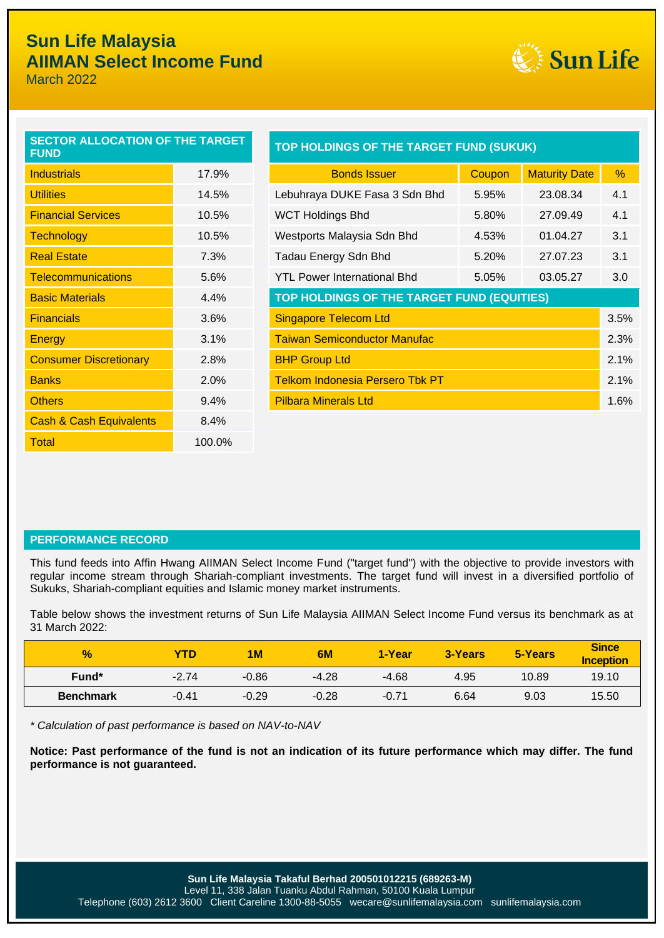## **Sun Life Malaysia AIIMAN Select Income Fund**

March 2022



| <b>SECTOR ALLOCATION OF THE TARGET</b><br><b>FUND</b> |        |
|-------------------------------------------------------|--------|
| <b>Industrials</b>                                    | 17.9%  |
| <b>Utilities</b>                                      | 14.5%  |
| <b>Financial Services</b>                             | 10.5%  |
| <b>Technology</b>                                     | 10.5%  |
| <b>Real Estate</b>                                    | 7.3%   |
| <b>Telecommunications</b>                             | 5.6%   |
| <b>Basic Materials</b>                                | 4.4%   |
| <b>Financials</b>                                     | 3.6%   |
| <b>Energy</b>                                         | 3.1%   |
| <b>Consumer Discretionary</b>                         | 2.8%   |
| <b>Banks</b>                                          | 2.0%   |
| <b>Others</b>                                         | 9.4%   |
| <b>Cash &amp; Cash Equivalents</b>                    | 8.4%   |
| Total                                                 | 100.0% |

| <b>SECTOR ALLOCATION OF THE TARGET</b><br><b>FUND</b> |       | TOP HOLDINGS OF THE TARGET FUND (SUKUK)    |               |                      |      |  |
|-------------------------------------------------------|-------|--------------------------------------------|---------------|----------------------|------|--|
| <b>Industrials</b>                                    | 17.9% | <b>Bonds Issuer</b>                        | <b>Coupon</b> | <b>Maturity Date</b> | %    |  |
| <b>Utilities</b>                                      | 14.5% | Lebuhraya DUKE Fasa 3 Sdn Bhd              | 5.95%         | 23.08.34             | 4.1  |  |
| <b>Financial Services</b>                             | 10.5% | <b>WCT Holdings Bhd</b>                    | 5.80%         | 27.09.49             | 4.1  |  |
| <b>Technology</b>                                     | 10.5% | Westports Malaysia Sdn Bhd                 | 4.53%         | 01.04.27             | 3.1  |  |
| <b>Real Estate</b>                                    | 7.3%  | Tadau Energy Sdn Bhd                       | 5.20%         | 27.07.23             | 3.1  |  |
| <b>Telecommunications</b>                             | 5.6%  | <b>YTL Power International Bhd</b>         | 5.05%         | 03.05.27             | 3.0  |  |
| <b>Basic Materials</b>                                | 4.4%  | TOP HOLDINGS OF THE TARGET FUND (EQUITIES) |               |                      |      |  |
| <b>Financials</b>                                     | 3.6%  | 3.5%<br><b>Singapore Telecom Ltd</b>       |               |                      |      |  |
| <b>Energy</b>                                         | 3.1%  | <b>Taiwan Semiconductor Manufac</b>        |               |                      | 2.3% |  |
| <b>Consumer Discretionary</b>                         | 2.8%  | <b>BHP Group Ltd</b><br>2.1%               |               |                      |      |  |
| <b>Banks</b>                                          | 2.0%  | <b>Telkom Indonesia Persero Tbk PT</b>     |               |                      | 2.1% |  |
| <b>Others</b>                                         | 9.4%  | <b>Pilbara Minerals Ltd</b>                |               |                      | 1.6% |  |
| $\sim$ $\sim$ $\sim$ $\sim$ $\sim$ $\sim$ $\sim$      |       |                                            |               |                      |      |  |

### **PERFORMANCE RECORD**

This fund feeds into Affin Hwang AIIMAN Select Income Fund ("target fund") with the objective to provide investors with regular income stream through Shariah-compliant investments. The target fund will invest in a diversified portfolio of Sukuks, Shariah-compliant equities and Islamic money market instruments.

Table below shows the investment returns of Sun Life Malaysia AIIMAN Select Income Fund versus its benchmark as at 31 March 2022:

| $\frac{1}{2}$    | YTD     | 1M      | 6M      | 1-Year  | 3-Years | 5-Years | <b>Since</b><br><b>Inception</b> |
|------------------|---------|---------|---------|---------|---------|---------|----------------------------------|
| Fund*            | $-2.74$ | $-0.86$ | $-4.28$ | $-4.68$ | 4.95    | 10.89   | 19.10                            |
| <b>Benchmark</b> | $-0.41$ | $-0.29$ | $-0.28$ | $-0.71$ | 6.64    | 9.03    | 15.50                            |

*\* Calculation of past performance is based on NAV-to-NAV*

**Notice: Past performance of the fund is not an indication of its future performance which may differ. The fund performance is not guaranteed.**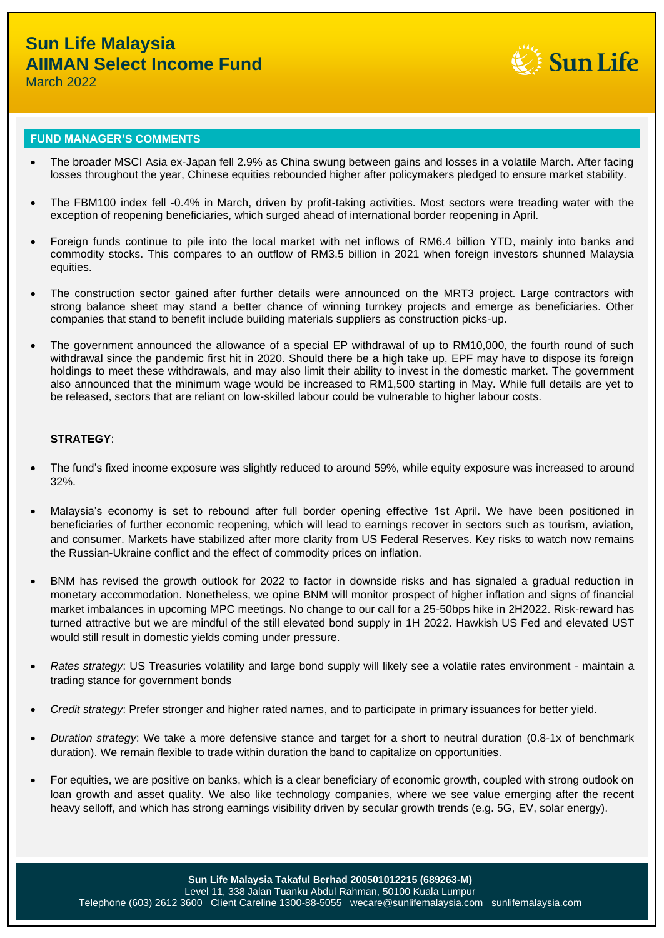

March 2022

### **FUND MANAGER'S COMMENTS**

- The broader MSCI Asia ex-Japan fell 2.9% as China swung between gains and losses in a volatile March. After facing losses throughout the year, Chinese equities rebounded higher after policymakers pledged to ensure market stability.
- The FBM100 index fell -0.4% in March, driven by profit-taking activities. Most sectors were treading water with the exception of reopening beneficiaries, which surged ahead of international border reopening in April.
- Foreign funds continue to pile into the local market with net inflows of RM6.4 billion YTD, mainly into banks and commodity stocks. This compares to an outflow of RM3.5 billion in 2021 when foreign investors shunned Malaysia equities.
- The construction sector gained after further details were announced on the MRT3 project. Large contractors with strong balance sheet may stand a better chance of winning turnkey projects and emerge as beneficiaries. Other companies that stand to benefit include building materials suppliers as construction picks-up.
- The government announced the allowance of a special EP withdrawal of up to RM10,000, the fourth round of such withdrawal since the pandemic first hit in 2020. Should there be a high take up, EPF may have to dispose its foreign holdings to meet these withdrawals, and may also limit their ability to invest in the domestic market. The government also announced that the minimum wage would be increased to RM1,500 starting in May. While full details are yet to be released, sectors that are reliant on low-skilled labour could be vulnerable to higher labour costs.

### **STRATEGY**:

- The fund's fixed income exposure was slightly reduced to around 59%, while equity exposure was increased to around 32%.
- Malaysia's economy is set to rebound after full border opening effective 1st April. We have been positioned in beneficiaries of further economic reopening, which will lead to earnings recover in sectors such as tourism, aviation, and consumer. Markets have stabilized after more clarity from US Federal Reserves. Key risks to watch now remains the Russian-Ukraine conflict and the effect of commodity prices on inflation.
- BNM has revised the growth outlook for 2022 to factor in downside risks and has signaled a gradual reduction in monetary accommodation. Nonetheless, we opine BNM will monitor prospect of higher inflation and signs of financial market imbalances in upcoming MPC meetings. No change to our call for a 25-50bps hike in 2H2022. Risk-reward has turned attractive but we are mindful of the still elevated bond supply in 1H 2022. Hawkish US Fed and elevated UST would still result in domestic yields coming under pressure.
- *Rates strategy*: US Treasuries volatility and large bond supply will likely see a volatile rates environment maintain a trading stance for government bonds
- *Credit strategy*: Prefer stronger and higher rated names, and to participate in primary issuances for better yield.
- *Duration strategy*: We take a more defensive stance and target for a short to neutral duration (0.8-1x of benchmark duration). We remain flexible to trade within duration the band to capitalize on opportunities.
- For equities, we are positive on banks, which is a clear beneficiary of economic growth, coupled with strong outlook on loan growth and asset quality. We also like technology companies, where we see value emerging after the recent heavy selloff, and which has strong earnings visibility driven by secular growth trends (e.g. 5G, EV, solar energy).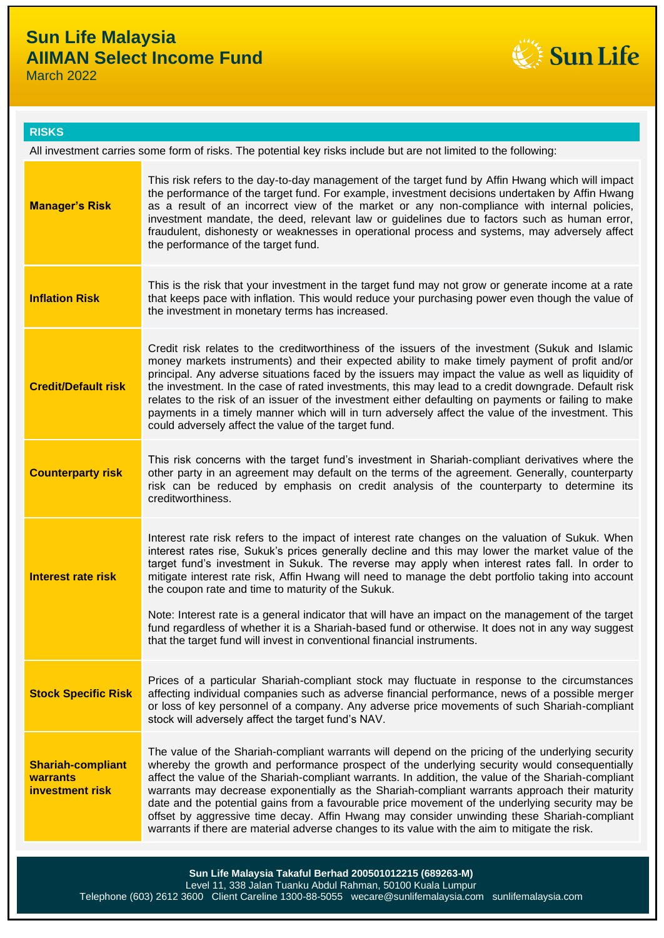# **Sun Life Malaysia AIIMAN Select Income Fund**

March 2022



### **RISKS**

| All investment carries some form of risks. The potential key risks include but are not limited to the following: |                                                                                                                                                                                                                                                                                                                                                                                                                                                                                                                                                                                                                                                                                                                                                             |  |  |  |
|------------------------------------------------------------------------------------------------------------------|-------------------------------------------------------------------------------------------------------------------------------------------------------------------------------------------------------------------------------------------------------------------------------------------------------------------------------------------------------------------------------------------------------------------------------------------------------------------------------------------------------------------------------------------------------------------------------------------------------------------------------------------------------------------------------------------------------------------------------------------------------------|--|--|--|
| <b>Manager's Risk</b>                                                                                            | This risk refers to the day-to-day management of the target fund by Affin Hwang which will impact<br>the performance of the target fund. For example, investment decisions undertaken by Affin Hwang<br>as a result of an incorrect view of the market or any non-compliance with internal policies,<br>investment mandate, the deed, relevant law or guidelines due to factors such as human error,<br>fraudulent, dishonesty or weaknesses in operational process and systems, may adversely affect<br>the performance of the target fund.                                                                                                                                                                                                                |  |  |  |
| <b>Inflation Risk</b>                                                                                            | This is the risk that your investment in the target fund may not grow or generate income at a rate<br>that keeps pace with inflation. This would reduce your purchasing power even though the value of<br>the investment in monetary terms has increased.                                                                                                                                                                                                                                                                                                                                                                                                                                                                                                   |  |  |  |
| <b>Credit/Default risk</b>                                                                                       | Credit risk relates to the creditworthiness of the issuers of the investment (Sukuk and Islamic<br>money markets instruments) and their expected ability to make timely payment of profit and/or<br>principal. Any adverse situations faced by the issuers may impact the value as well as liquidity of<br>the investment. In the case of rated investments, this may lead to a credit downgrade. Default risk<br>relates to the risk of an issuer of the investment either defaulting on payments or failing to make<br>payments in a timely manner which will in turn adversely affect the value of the investment. This<br>could adversely affect the value of the target fund.                                                                          |  |  |  |
| <b>Counterparty risk</b>                                                                                         | This risk concerns with the target fund's investment in Shariah-compliant derivatives where the<br>other party in an agreement may default on the terms of the agreement. Generally, counterparty<br>risk can be reduced by emphasis on credit analysis of the counterparty to determine its<br>creditworthiness.                                                                                                                                                                                                                                                                                                                                                                                                                                           |  |  |  |
| <b>Interest rate risk</b>                                                                                        | Interest rate risk refers to the impact of interest rate changes on the valuation of Sukuk. When<br>interest rates rise, Sukuk's prices generally decline and this may lower the market value of the<br>target fund's investment in Sukuk. The reverse may apply when interest rates fall. In order to<br>mitigate interest rate risk, Affin Hwang will need to manage the debt portfolio taking into account<br>the coupon rate and time to maturity of the Sukuk.<br>Note: Interest rate is a general indicator that will have an impact on the management of the target<br>fund regardless of whether it is a Shariah-based fund or otherwise. It does not in any way suggest<br>that the target fund will invest in conventional financial instruments. |  |  |  |
| <b>Stock Specific Risk</b>                                                                                       | Prices of a particular Shariah-compliant stock may fluctuate in response to the circumstances<br>affecting individual companies such as adverse financial performance, news of a possible merger<br>or loss of key personnel of a company. Any adverse price movements of such Shariah-compliant<br>stock will adversely affect the target fund's NAV.                                                                                                                                                                                                                                                                                                                                                                                                      |  |  |  |
| <b>Shariah-compliant</b><br>warrants<br>investment risk                                                          | The value of the Shariah-compliant warrants will depend on the pricing of the underlying security<br>whereby the growth and performance prospect of the underlying security would consequentially<br>affect the value of the Shariah-compliant warrants. In addition, the value of the Shariah-compliant<br>warrants may decrease exponentially as the Shariah-compliant warrants approach their maturity<br>date and the potential gains from a favourable price movement of the underlying security may be<br>offset by aggressive time decay. Affin Hwang may consider unwinding these Shariah-compliant<br>warrants if there are material adverse changes to its value with the aim to mitigate the risk.                                               |  |  |  |